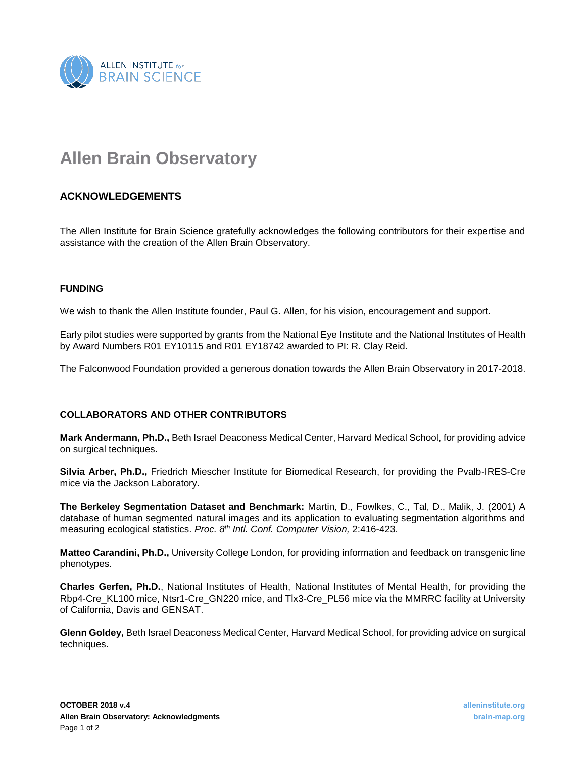

## **Allen Brain Observatory**

## **ACKNOWLEDGEMENTS**

The Allen Institute for Brain Science gratefully acknowledges the following contributors for their expertise and assistance with the creation of the Allen Brain Observatory.

## **FUNDING**

We wish to thank the Allen Institute founder, Paul G. Allen, for his vision, encouragement and support.

Early pilot studies were supported by grants from the National Eye Institute and the National Institutes of Health by Award Numbers R01 EY10115 and R01 EY18742 awarded to PI: R. Clay Reid.

The Falconwood Foundation provided a generous donation towards the Allen Brain Observatory in 2017-2018.

## **COLLABORATORS AND OTHER CONTRIBUTORS**

**Mark Andermann, Ph.D.,** Beth Israel Deaconess Medical Center, Harvard Medical School, for providing advice on surgical techniques.

**Silvia Arber, Ph.D.,** Friedrich Miescher Institute for Biomedical Research, for providing the Pvalb-IRES-Cre mice via the Jackson Laboratory.

**The Berkeley Segmentation Dataset and Benchmark:** Martin, D., Fowlkes, C., Tal, D., Malik, J. (2001) A database of human segmented natural images and its application to evaluating segmentation algorithms and measuring ecological statistics. *Proc. 8th Intl. Conf. Computer Vision,* 2:416-423.

**Matteo Carandini, Ph.D.,** University College London, for providing information and feedback on transgenic line phenotypes.

**Charles Gerfen, Ph.D.**, National Institutes of Health, National Institutes of Mental Health, for providing the Rbp4-Cre\_KL100 mice, Ntsr1-Cre\_GN220 mice, and Tlx3-Cre\_PL56 mice via the MMRRC facility at University of California, Davis and GENSAT.

**Glenn Goldey,** Beth Israel Deaconess Medical Center, Harvard Medical School, for providing advice on surgical techniques.